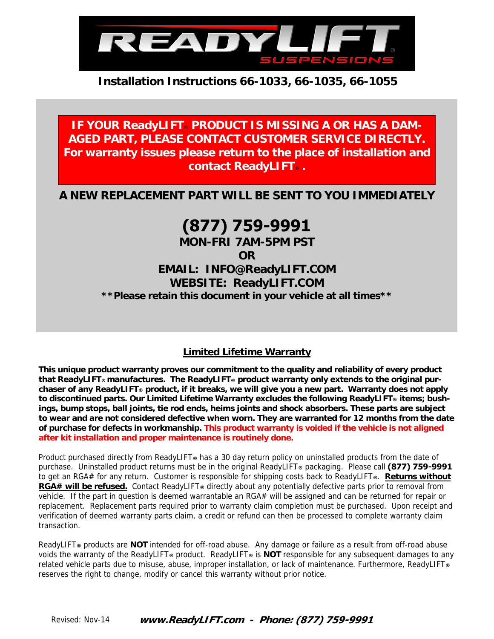

**IF YOUR ReadyLIFT PRODUCT IS MISSING A OR HAS A DAM-AGED PART, PLEASE CONTACT CUSTOMER SERVICE DIRECTLY. For warranty issues please return to the place of installation and contact ReadyLIFT® .** 

**A NEW REPLACEMENT PART WILL BE SENT TO YOU IMMEDIATELY** 

## **(877) 759-9991**

**MON-FRI 7AM-5PM PST OR EMAIL: INFO@ReadyLIFT.COM WEBSITE: ReadyLIFT.COM \*\*Please retain this document in your vehicle at all times\*\*** 

## **Limited Lifetime Warranty**

**This unique product warranty proves our commitment to the quality and reliability of every product that ReadyLIFT® manufactures. The ReadyLIFT® product warranty only extends to the original purchaser of any ReadyLIFT® product, if it breaks, we will give you a new part. Warranty does not apply to discontinued parts. Our Limited Lifetime Warranty excludes the following ReadyLIFT® items; bushings, bump stops, ball joints, tie rod ends, heims joints and shock absorbers. These parts are subject to wear and are not considered defective when worn. They are warranted for 12 months from the date of purchase for defects in workmanship. This product warranty is voided if the vehicle is not aligned after kit installation and proper maintenance is routinely done.** 

Product purchased directly from ReadyLIFT**®** has a 30 day return policy on uninstalled products from the date of purchase. Uninstalled product returns must be in the original ReadyLIFT**®** packaging. Please call **(877) 759-9991** to get an RGA# for any return. Customer is responsible for shipping costs back to ReadyLIFT**®**. **Returns without RGA# will be refused.** Contact ReadyLIFT**®** directly about any potentially defective parts prior to removal from vehicle. If the part in question is deemed warrantable an RGA# will be assigned and can be returned for repair or replacement. Replacement parts required prior to warranty claim completion must be purchased. Upon receipt and verification of deemed warranty parts claim, a credit or refund can then be processed to complete warranty claim transaction.

ReadyLIFT**®** products are **NOT** intended for off-road abuse. Any damage or failure as a result from off-road abuse voids the warranty of the ReadyLIFT**®** product. ReadyLIFT**®** is **NOT** responsible for any subsequent damages to any related vehicle parts due to misuse, abuse, improper installation, or lack of maintenance. Furthermore, ReadyLIFT**®** reserves the right to change, modify or cancel this warranty without prior notice.

**www.ReadyLIFT.com - Phone: (877) 759-9991** Revised: Nov-14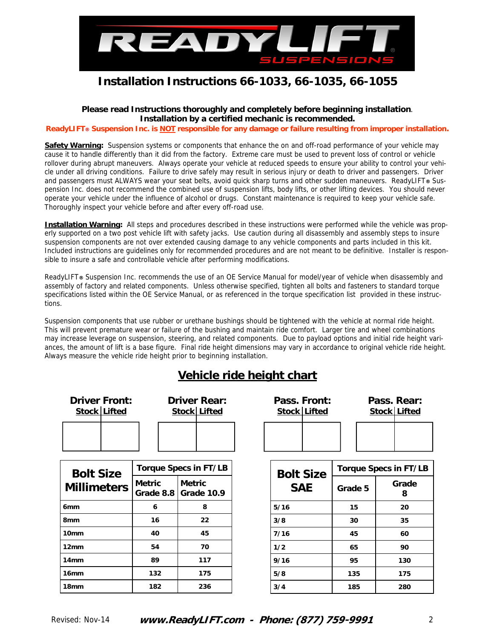

#### **Please read Instructions thoroughly and completely before beginning installation**. **Installation by a certified mechanic is recommended.**

**ReadyLIFT® Suspension Inc. is NOT responsible for any damage or failure resulting from improper installation.** 

**Safety Warning:** Suspension systems or components that enhance the on and off-road performance of your vehicle may cause it to handle differently than it did from the factory. Extreme care must be used to prevent loss of control or vehicle rollover during abrupt maneuvers. Always operate your vehicle at reduced speeds to ensure your ability to control your vehicle under all driving conditions. Failure to drive safely may result in serious injury or death to driver and passengers. Driver and passengers must ALWAYS wear your seat belts, avoid quick sharp turns and other sudden maneuvers. ReadyLIFT**®** Suspension Inc. does not recommend the combined use of suspension lifts, body lifts, or other lifting devices. You should never operate your vehicle under the influence of alcohol or drugs. Constant maintenance is required to keep your vehicle safe. Thoroughly inspect your vehicle before and after every off-road use.

**Installation Warning:** All steps and procedures described in these instructions were performed while the vehicle was properly supported on a two post vehicle lift with safety jacks. Use caution during all disassembly and assembly steps to insure suspension components are not over extended causing damage to any vehicle components and parts included in this kit. Included instructions are guidelines only for recommended procedures and are not meant to be definitive. Installer is responsible to insure a safe and controllable vehicle after performing modifications.

ReadyLIFT**®** Suspension Inc. recommends the use of an OE Service Manual for model/year of vehicle when disassembly and assembly of factory and related components. Unless otherwise specified, tighten all bolts and fasteners to standard torque specifications listed within the OE Service Manual, or as referenced in the torque specification list provided in these instructions.

Suspension components that use rubber or urethane bushings should be tightened with the vehicle at normal ride height. This will prevent premature wear or failure of the bushing and maintain ride comfort. Larger tire and wheel combinations may increase leverage on suspension, steering, and related components. Due to payload options and initial ride height variances, the amount of lift is a base figure. Final ride height dimensions may vary in accordance to original vehicle ride height. Always measure the vehicle ride height prior to beginning installation.

## **Vehicle ride height chart**

| <b>Driver Front:</b><br>Stock Lifted   | <b>Driver Rear:</b><br><b>Stock Lifted</b> |                                         |                  | Pass. Front:<br>Stock Lifted |         | Pass. Rear:<br>Stock Lifted |  |
|----------------------------------------|--------------------------------------------|-----------------------------------------|------------------|------------------------------|---------|-----------------------------|--|
|                                        |                                            |                                         |                  |                              |         |                             |  |
| <b>Bolt Size</b><br><b>Millimeters</b> | <b>Torque Specs in FT/LB</b>               |                                         | <b>Bolt Size</b> | <b>Torque Specs in FT/LB</b> |         |                             |  |
|                                        | <b>Metric</b>                              | <b>Metric</b><br>Grade 8.8   Grade 10.9 |                  | <b>SAE</b>                   | Grade 5 | Grade<br>8                  |  |
| 6 <sub>mm</sub>                        | 6                                          | 8                                       | 5/16             |                              | 15      | 20                          |  |
| 8 <sub>mm</sub>                        | 16                                         | 22                                      | 3/8              |                              | 30      | 35                          |  |
| 10 <sub>mm</sub>                       | 40                                         | 45                                      | 7/16             |                              | 45      | 60                          |  |
| 12 <sub>mm</sub>                       | 54                                         | 70                                      | 1/2              |                              | 65      | 90                          |  |
| 14 <sub>mm</sub>                       | 89                                         | 117                                     | 9/16             |                              | 95      | 130                         |  |
| 16mm                                   | 132                                        | 175                                     | 5/8              |                              | 135     | 175                         |  |
| 18 <sub>mm</sub>                       | 182                                        | 236                                     | 3/4              |                              | 185     | 280                         |  |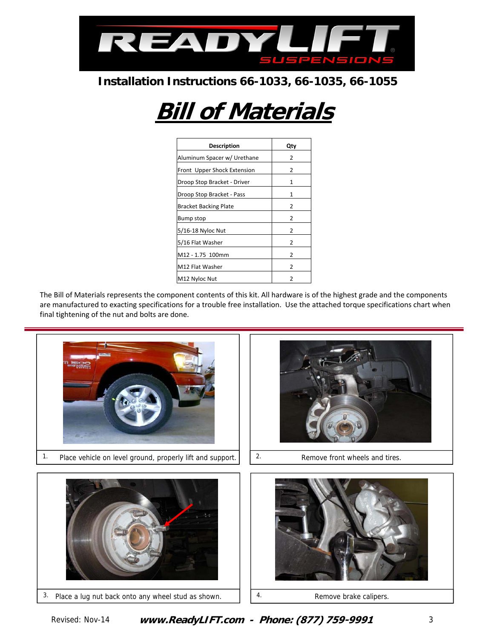

# **Bill of Materials**

| <b>Description</b>           | Qty            |
|------------------------------|----------------|
| Aluminum Spacer w/ Urethane  | 2              |
| Front Upper Shock Extension  | 2              |
| Droop Stop Bracket - Driver  | 1              |
| Droop Stop Bracket - Pass    | 1              |
| <b>Bracket Backing Plate</b> | 2              |
| Bump stop                    | 2              |
| 5/16-18 Nyloc Nut            | $\overline{2}$ |
| 5/16 Flat Washer             | 2              |
| M12 - 1.75 100mm             | 2              |
| M12 Flat Washer              | 2              |
| M12 Nyloc Nut                | $\overline{2}$ |

The Bill of Materials represents the component contents of this kit. All hardware is of the highest grade and the components are manufactured to exacting specifications for a trouble free installation. Use the attached torque specifications chart when final tightening of the nut and bolts are done.

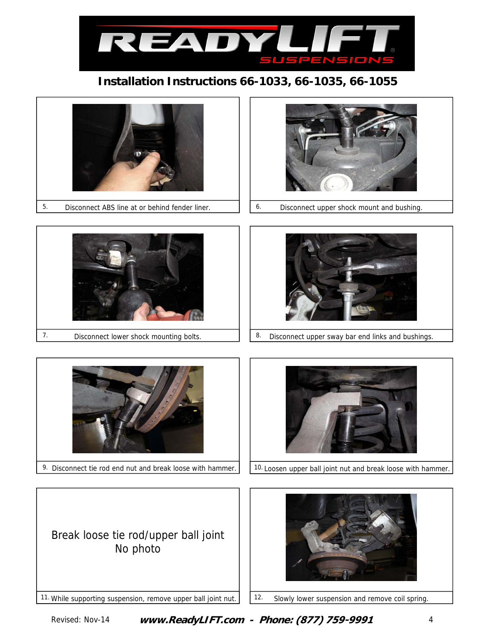

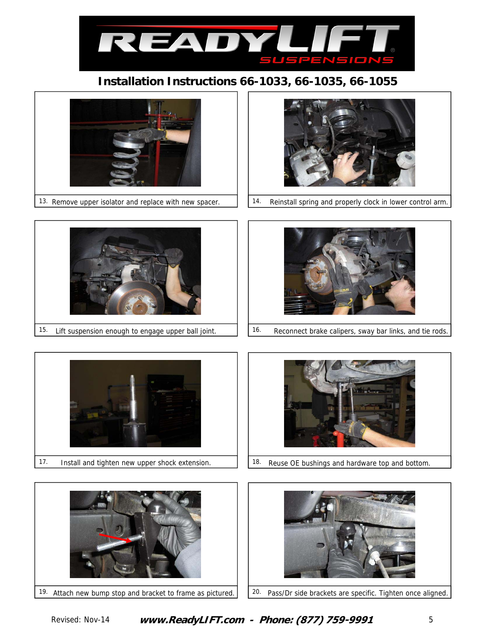





13. Remove upper isolator and replace with new spacer. | | 14. Reinstall spring and properly clock in lower control arm.